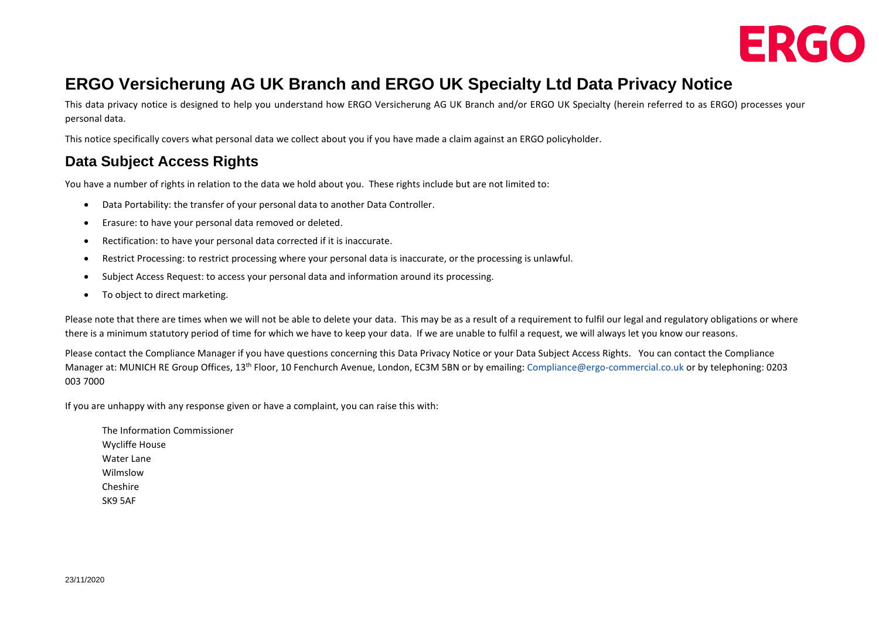

# **ERGO Versicherung AG UK Branch and ERGO UK Specialty Ltd Data Privacy Notice**

This data privacy notice is designed to help you understand how ERGO Versicherung AG UK Branch and/or ERGO UK Specialty (herein referred to as ERGO) processes your personal data.

This notice specifically covers what personal data we collect about you if you have made a claim against an ERGO policyholder.

### **Data Subject Access Rights**

You have a number of rights in relation to the data we hold about you. These rights include but are not limited to:

- Data Portability: the transfer of your personal data to another Data Controller.
- Erasure: to have your personal data removed or deleted.
- Rectification: to have your personal data corrected if it is inaccurate.
- Restrict Processing: to restrict processing where your personal data is inaccurate, or the processing is unlawful.
- Subject Access Request: to access your personal data and information around its processing.
- To object to direct marketing.

Please note that there are times when we will not be able to delete your data. This may be as a result of a requirement to fulfil our legal and regulatory obligations or where there is a minimum statutory period of time for which we have to keep your data. If we are unable to fulfil a request, we will always let you know our reasons.

Please contact the Compliance Manager if you have questions concerning this Data Privacy Notice or your Data Subject Access Rights. You can contact the Compliance Manager at: MUNICH RE Group Offices, 13th Floor, 10 Fenchurch Avenue, London, EC3M 5BN or by emailing: [Compliance@ergo-commercial.co.uk](mailto:Compliance@ergo-commercial.co.uk) or by telephoning: 0203 003 7000

If you are unhappy with any response given or have a complaint, you can raise this with:

The Information Commissioner Wycliffe House Water Lane Wilmslow Cheshire SK9 5AF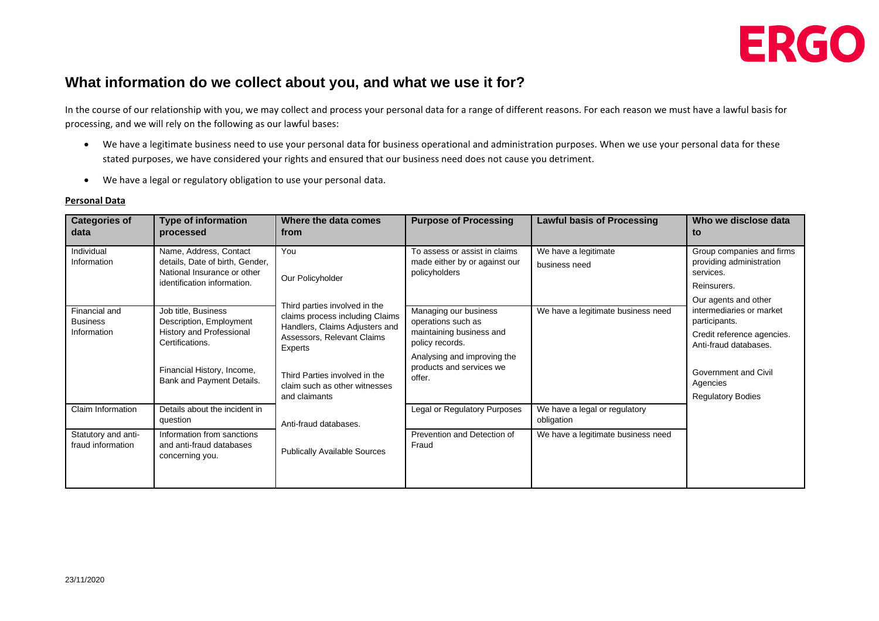

#### **What information do we collect about you, and what we use it for?**

In the course of our relationship with you, we may collect and process your personal data for a range of different reasons. For each reason we must have a lawful basis for processing, and we will rely on the following as our lawful bases:

- We have a legitimate business need to use your personal data for business operational and administration purposes. When we use your personal data for these stated purposes, we have considered your rights and ensured that our business need does not cause you detriment.
- We have a legal or regulatory obligation to use your personal data.

#### **Personal Data**

| <b>Categories of</b><br>data                    | <b>Type of information</b><br>processed                                                                                                                  | Where the data comes<br>from                                                                                                                                                                                                   | <b>Purpose of Processing</b>                                                                                                                                    | <b>Lawful basis of Processing</b>           | Who we disclose data<br>to                                                                                                                                                               |
|-------------------------------------------------|----------------------------------------------------------------------------------------------------------------------------------------------------------|--------------------------------------------------------------------------------------------------------------------------------------------------------------------------------------------------------------------------------|-----------------------------------------------------------------------------------------------------------------------------------------------------------------|---------------------------------------------|------------------------------------------------------------------------------------------------------------------------------------------------------------------------------------------|
| Individual<br>Information                       | Name, Address, Contact<br>details, Date of birth, Gender,<br>National Insurance or other<br>identification information.                                  | You<br>Our Policyholder                                                                                                                                                                                                        | To assess or assist in claims<br>made either by or against our<br>policyholders                                                                                 | We have a legitimate<br>business need       | Group companies and firms<br>providing administration<br>services.<br>Reinsurers.                                                                                                        |
| Financial and<br><b>Business</b><br>Information | Job title, Business<br>Description, Employment<br>History and Professional<br>Certifications.<br>Financial History, Income,<br>Bank and Payment Details. | Third parties involved in the<br>claims process including Claims<br>Handlers, Claims Adjusters and<br>Assessors, Relevant Claims<br>Experts<br>Third Parties involved in the<br>claim such as other witnesses<br>and claimants | Managing our business<br>operations such as<br>maintaining business and<br>policy records.<br>Analysing and improving the<br>products and services we<br>offer. | We have a legitimate business need          | Our agents and other<br>intermediaries or market<br>participants.<br>Credit reference agencies.<br>Anti-fraud databases.<br>Government and Civil<br>Agencies<br><b>Regulatory Bodies</b> |
| Claim Information                               | Details about the incident in<br>question                                                                                                                | Anti-fraud databases.                                                                                                                                                                                                          | <b>Legal or Regulatory Purposes</b>                                                                                                                             | We have a legal or regulatory<br>obligation |                                                                                                                                                                                          |
| Statutory and anti-<br>fraud information        | Information from sanctions<br>and anti-fraud databases<br>concerning you.                                                                                | <b>Publically Available Sources</b>                                                                                                                                                                                            | Prevention and Detection of<br>Fraud                                                                                                                            | We have a legitimate business need          |                                                                                                                                                                                          |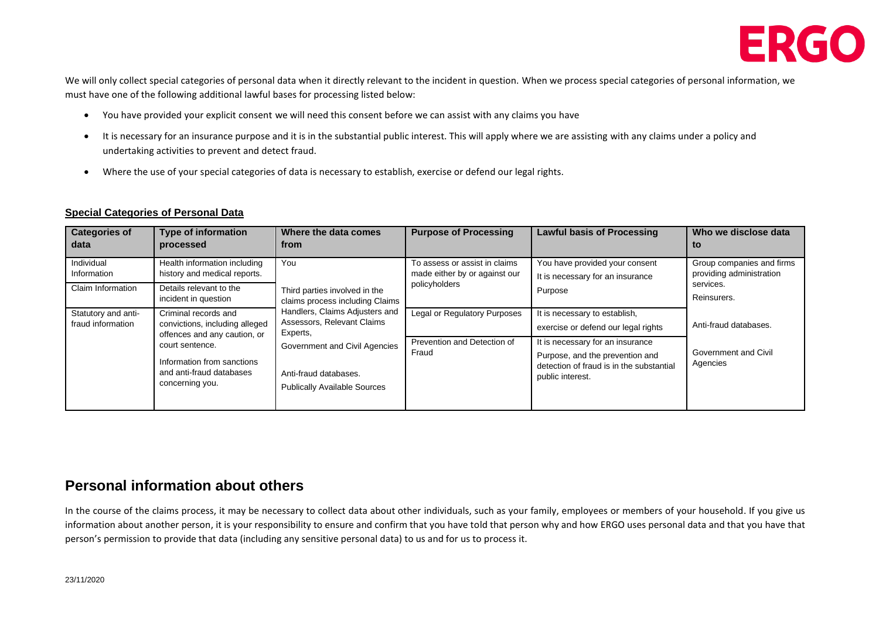

We will only collect special categories of personal data when it directly relevant to the incident in question. When we process special categories of personal information, we must have one of the following additional lawful bases for processing listed below:

- You have provided your explicit consent we will need this consent before we can assist with any claims you have
- It is necessary for an insurance purpose and it is in the substantial public interest. This will apply where we are assisting with any claims under a policy and undertaking activities to prevent and detect fraud.
- Where the use of your special categories of data is necessary to establish, exercise or defend our legal rights.

#### **Special Categories of Personal Data**

| <b>Categories of</b><br>data             | <b>Type of information</b><br>processed                                                      | Where the data comes<br>from                                                                                                                                                                                                                         | <b>Purpose of Processing</b>                                                    | <b>Lawful basis of Processing</b>                                                                                                   | Who we disclose data<br>to                                                            |
|------------------------------------------|----------------------------------------------------------------------------------------------|------------------------------------------------------------------------------------------------------------------------------------------------------------------------------------------------------------------------------------------------------|---------------------------------------------------------------------------------|-------------------------------------------------------------------------------------------------------------------------------------|---------------------------------------------------------------------------------------|
| Individual<br>Information                | Health information including<br>history and medical reports.                                 | You<br>Third parties involved in the<br>claims process including Claims<br>Handlers, Claims Adjusters and<br>Assessors, Relevant Claims<br>Experts,<br>Government and Civil Agencies<br>Anti-fraud databases.<br><b>Publically Available Sources</b> | To assess or assist in claims<br>made either by or against our<br>policyholders | You have provided your consent<br>It is necessary for an insurance<br>Purpose                                                       | Group companies and firms<br>providing administration                                 |
| Claim Information                        | Details relevant to the<br>incident in question                                              |                                                                                                                                                                                                                                                      |                                                                                 |                                                                                                                                     | services.<br>Reinsurers.<br>Anti-fraud databases.<br>Government and Civil<br>Agencies |
| Statutory and anti-<br>fraud information | Criminal records and<br>convictions, including alleged<br>offences and any caution, or       |                                                                                                                                                                                                                                                      | Legal or Regulatory Purposes                                                    | It is necessary to establish,<br>exercise or defend our legal rights                                                                |                                                                                       |
|                                          | court sentence.<br>Information from sanctions<br>and anti-fraud databases<br>concerning you. |                                                                                                                                                                                                                                                      | Prevention and Detection of<br>Fraud                                            | It is necessary for an insurance<br>Purpose, and the prevention and<br>detection of fraud is in the substantial<br>public interest. |                                                                                       |

#### **Personal information about others**

In the course of the claims process, it may be necessary to collect data about other individuals, such as your family, employees or members of your household. If you give us information about another person, it is your responsibility to ensure and confirm that you have told that person why and how ERGO uses personal data and that you have that person's permission to provide that data (including any sensitive personal data) to us and for us to process it.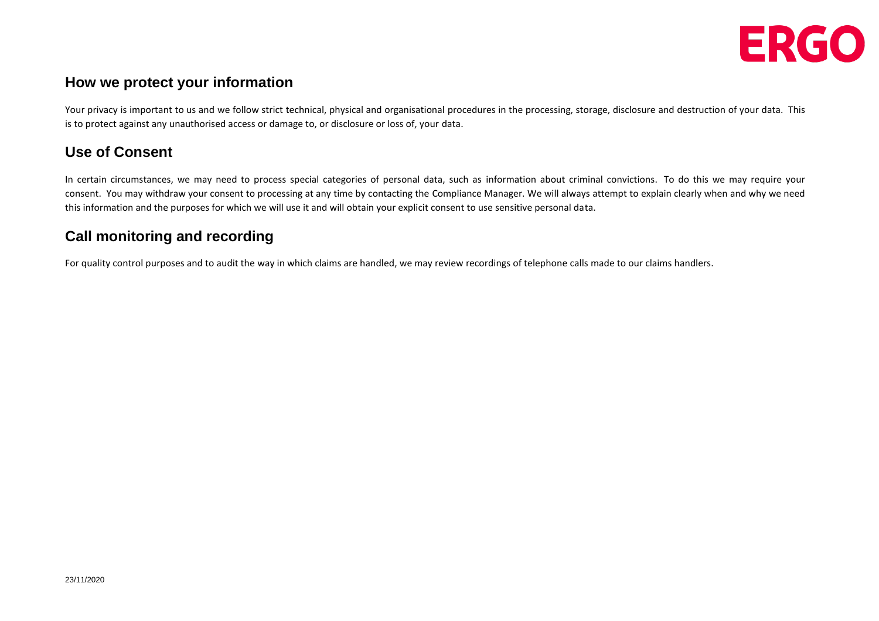

### **How we protect your information**

Your privacy is important to us and we follow strict technical, physical and organisational procedures in the processing, storage, disclosure and destruction of your data. This is to protect against any unauthorised access or damage to, or disclosure or loss of, your data.

# **Use of Consent**

In certain circumstances, we may need to process special categories of personal data, such as information about criminal convictions. To do this we may require your consent. You may withdraw your consent to processing at any time by contacting the Compliance Manager. We will always attempt to explain clearly when and why we need this information and the purposes for which we will use it and will obtain your explicit consent to use sensitive personal data.

# **Call monitoring and recording**

For quality control purposes and to audit the way in which claims are handled, we may review recordings of telephone calls made to our claims handlers.